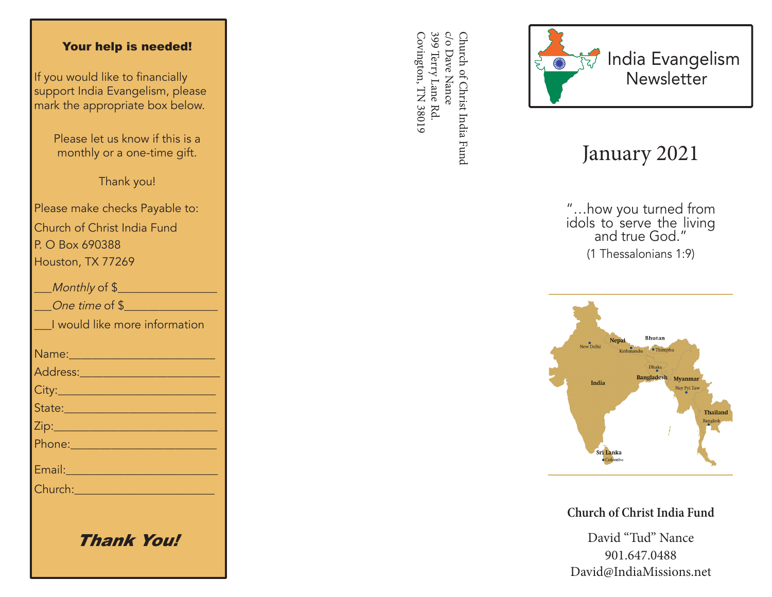#### Your help is needed!

If you would like to financially support India Evangelism, please mark the appropriate box below.

> Please let us know if this is a monthly or a one-time gift.

> > Thank you!

Please make checks Payable to: Church of Christ India Fund P. O Box 690388 Houston, TX 77269

| Monthly of \$                                                                                                 |
|---------------------------------------------------------------------------------------------------------------|
| One time of \$                                                                                                |
| I would like more information                                                                                 |
| Name: 2008 2010 2021 2022 2023                                                                                |
| <u>Address: ________________________</u>                                                                      |
|                                                                                                               |
| State: 2008 - 2008 - 2010 - 2010 - 2011 - 2012 - 2012 - 2012 - 2014 - 2014 - 2014 - 2014 - 2014 - 2014 - 2014 |
|                                                                                                               |
|                                                                                                               |
| Email: 2008 - 2008 - 2014 - 2014 - 2014 - 2014 - 2014 - 2014 - 2014 - 2014 - 2014 - 2014 - 2014 - 2014 - 2014 |
| Church: <u>_______________</u>                                                                                |
|                                                                                                               |
|                                                                                                               |

Thank You!

399 Terry Lane Rd c/o Dave Nance Covington, TN 38019 Covington, TN 38019 399 Terry Lane Rd. c/o Dave Nance Church of Christ India Fund Church of Christ India Fund



# January 2021

"…how you turned from idols to serve the living and true God." (1 Thessalonians 1:9)



**Church of Christ India Fund**

David "Tud" Nance 901.647.0488 David@IndiaMissions.net